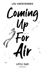

LONDON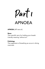# Part 1 APNOEA

APNOEA *[AP-nee-uh]*

### Noun

The scientific term for holding your breath. Literally meaning 'without air'.

## Pathology

The suspension of breathing as occurs in diving mammals.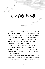# One Full Breath

**Contract Contract Contract Contract Contract Contract Contract Contract Contract Contract Contract Contract C** 

Picture this: a girl lying under the water, body relaxed, her fair hair floating serenely while her last full breath pulsates in her veins. Calmly, she contemplates her life, enjoying the stillness and sense of peace that washes over her. The seconds pass by into minutes and still she doesn't come up for air. Is she a fish or perhaps a mermaid? Whatever she is, she seems to belong under the water.

Cut to a shot of me trying awkwardly to stay beneath the five centimetres of water that I'd managed to run before it got cold. Most definitely not the glamorous image that I'd imagined. Wearing nothing but goggles in the bath isn't exactly a strong look.

Holding my breath underwater while going over the events of my day, the way a director might run through the dailies of a film shoot, is my absolute favourite thing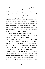to do. With my view limited to what's right in front of me, and only an inner monologue to narrate the story, it's like viewing my life through the lens. It gives me a new perspective and enables me to focus on what's really important. It's funny how much I can relax like this.

I'm forever imagining myself in a movie. A montage of best mates giggling over a burger; the lone main character, i.e. me, running in a city park; the main character, me again, staring out of the window pensively, with some sort of emotive music to accompany the shot. Wouldn't it be great if we actually did have soundtracks to our lives? You'd certainly know what was coming next if you heard the ominous sound of violins striking up…

*Mississippi eighty-two, Mississippi eighty-three.*

So goes the count in my head while I focus on what the sequel to my London life is going to look like.

Min, my insanely creative, chaos-inducing, fun-loving, stuck-in-adolescence mother, has lost her job – she was a producer for a large Soho post house – and is relocating us to her hometown, some 300 miles away from everything I love and cherish. It's somewhere I've never been and – cue the violins – the place where my dad died before I was born. Min calls it a hellhole on the edge of the world and had vowed never to go there again, but she's rather prone to dramatic outbursts, so you can't take her word for anything. That reminds me: I should look the town up. As an aspiring documentary maker, it's important to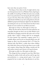have more than one point of view.

The thing is, I love where we live. It might only be a tiny one-bed apartment, but it's on Wardour Street, slap bang in the middle of everything. It's Min's favourite story actually, how it was purely down to her having the gift of the gab that we got to live here. How, when starting out as a runner, she made friends with Bob, an up-and-coming director, who also dabbled in property development. Quite how she talked him into letting her rent our one I don't know, but they've been friends ever since and here we are fifteen years later…

### *Mississippi one-thirty-one, Mississippi one-thirty-two.*

When she first told me that her boss had sacked her, my immediate thought was that it was my fault. Robin's never really liked me hanging round the edit suites and as of last month, when I asked a visiting celeb for an autograph, I've been banned. Not surprising I suppose, given it's a sackable offence and I'm just an annoying fifteen-year-old hanger-on. But it was the presenter from a TV show I'm obsessed with: *Big Mother,* a reality show where children who think their mums are the best get them to go on telly and compete, doing things like baking, running and the odd outdoor extreme sport thrown in for good measure.

*Mississippi one-fifty-two, Mississippi one-fifty-three.*

This change has been coming for some time. Min's been burning the candle at both ends and has said for ages that post-production is a young person's game. I just wasn't prepared for her to make such a big alteration to our lives.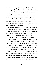I've got friends here, a Saturday job, school even. But, with Bob selling our flat to release equity for a film he's planning, and Min without a penny of savings, we've got no choice.

#### *Mississippi one-seventy-five…*

I've been under for nearly three minutes now and my insides are spasming, telling me to come up for air. But I hold on, and just about make it to three and a half minutes before I burst to the surface, gasping for breath.

"Yes!" I yell with a triumphant punch, ignoring the slosh of water over the side of the bath.

"You still in there?" asks Min, picking her way over to the loo where she perches, knickers round her ankles – she'll take any audience she can get  $-$  the hem of her vintage dress soaking up the spilled bathwater like a sponge.

"Personal best," I pant, still recovering my breath.

She frowns. "I hope you didn't use up all the hot water."

She tiptoes over to the sink where she begins the long and laborious process of getting ready for a night out. I used to love watching her do it while lying in the bath. An immaculate beehive hairdo, thick black eyeliner that wings out almost as far as her perfectly shaped eyebrows, pale foundation, dark eyes and barely there lips. It's a look all right. And she doesn't have any kind of skincare routine – except soap and water – at the end of a night. How she never breaks out in spots is beyond me.

"Come on," she says, chivvying me out of the bath. "Last night on the town. Let's make it one to remember…"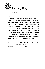

Town in England

### **Description**

**Piscary Bay** is a small bustling fishing harbour in south-west England. Known for its picturesque-postcard appearance, with candy-coloured houses nestling into the hillside surrounding an aquamarine bay that has been known to light up with bioluminescence under the right conditions. It has become an increasingly popular destination for tourists and city types looking to relocate for a quieter life. And who could blame them? Cheap housing, excellent waves for surfing and day trips along the coast to see the copious amounts of wildlife, including seals, dolphins and puffins. Just watch out for the rips *and* the locals…

Weather: 22 °C, Wind NE at 9 mph (14 km/h), 61% Humidity Population: 20,342 (2011 census) Local time: Sunday 23rd June 18:04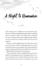

That evening we do a walking tour of our favourite spots. This involves Min standing by patiently while I record little pieces to camera so that I never forget them. I think it's her way of saying thanks-for-not-going-teenage-ballistic on her. Not that I ever really do. That's more her area of expertise.

There are so many hidden places in London that tourists don't know about. Gothic churchyards where you can sit beneath the gaze of eerie gargoyles. Side streets leading to gardens bursting with flowers and wildlife. Min and I have a whole lifetime of memories in these spaces.

"D'you remember when we schlepped all the way to the Regent's Park playground and I immediately fell out of a tree you'd told me not to climb? And then you had to rush all the way back home, with me screaming in your arms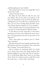and blood gushing over your shoulder."

"Never did get that out of my coat," laughs Min. "It was my favourite as well."

I squeeze her hand. "Sorry."

She shakes her head. "Don't be silly. You were only four, darling." She says this with an accentuation on the 'ah' in the transatlantic-movie-star-from-the-golden-ageof-Hollywood sort of way. We have a shared passion for films, and we've been watching black-and-white movies every Sunday afternoon together since I can remember.

"D'you remember when I ran away and hid here?" I ask, as we arrive at our favourite bench in Phoenix Garden.

"Is that where you went?" gasps Min in mock horror, humouring me because we've replayed this scene many a time. "I was going spare by the time you got home. It was dark and I—"

"Had a client dinner you needed to get to," I finish. "Yes, I remember."

Min grabs my hand, her eyes urgently searching my face. Did I mention that she's a bit dramatic? "No, it wasn't like that," she gasps. "I was worried about you."

And so continues our reminiscing. Both of us trying not to discuss what comes next, though questions keep floating unbidden into my head. Like what am I going to do in a small fishing village where I know no one, losing all the friends I've worked so hard to make? But I push the worries  $a_{\text{way}} - I$  need to find a silver lining.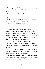"If we're going to live by the sea, we could get a dog," I suggest tentatively, because Min's always been against the idea. She doesn't like the idea of more responsibility…

"Darling!" she shrieks, doubling over with laughter. "You crack me up!"

"I wasn't joking."

"Neither was I," she retorts. "Now are you gonna put that phone down? Can't eat and film, you know."

*Looks to camera – speak for yourself…*



After dinner from our favourite Taiwanese street stall and then dipping into the Nellie Dean for Min to say goodbye to the landlord, we head home to face the daunting task of finishing packing up the flat. We find Bob waiting in the street, leaning against the door, dressed like half the TV industry in jeans, suit jacket, shirt and trainers.

"You've got a nerve," Min spits venomously.

"I've come to say goodbye. Sunshine…" he coos, his gravelly voice catching on his nickname for me. "I'm gonna miss you."

Min flounces past him, angrily shoving the key in the door. "Make it about *her*, why don't you? You're making *both* of us homeless if you hadn't noticed."

Bob sighs. "I'm sorry. You know how hard it is getting a foot in the door of the film industry. I don't want to be making entertainment shows for the rest of my life."